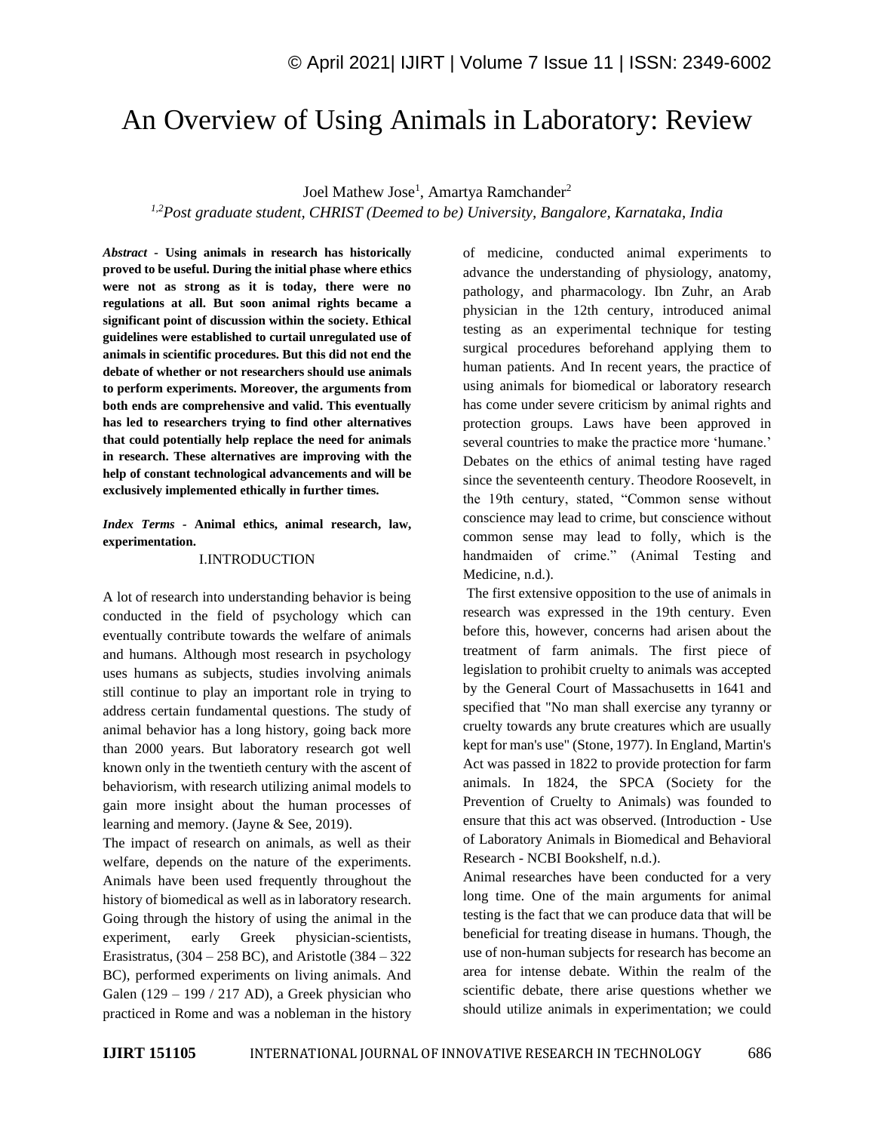# An Overview of Using Animals in Laboratory: Review

Joel Mathew Jose<sup>1</sup>, Amartya Ramchander<sup>2</sup>

*1,2Post graduate student, CHRIST (Deemed to be) University, Bangalore, Karnataka, India* 

*Abstract -* **Using animals in research has historically proved to be useful. During the initial phase where ethics were not as strong as it is today, there were no regulations at all. But soon animal rights became a significant point of discussion within the society. Ethical guidelines were established to curtail unregulated use of animals in scientific procedures. But this did not end the debate of whether or not researchers should use animals to perform experiments. Moreover, the arguments from both ends are comprehensive and valid. This eventually has led to researchers trying to find other alternatives that could potentially help replace the need for animals in research. These alternatives are improving with the help of constant technological advancements and will be exclusively implemented ethically in further times.**

*Index Terms -* **Animal ethics, animal research, law, experimentation.**

## I.INTRODUCTION

A lot of research into understanding behavior is being conducted in the field of psychology which can eventually contribute towards the welfare of animals and humans. Although most research in psychology uses humans as subjects, studies involving animals still continue to play an important role in trying to address certain fundamental questions. The study of animal behavior has a long history, going back more than 2000 years. But laboratory research got well known only in the twentieth century with the ascent of behaviorism, with research utilizing animal models to gain more insight about the human processes of learning and memory. (Jayne & See, 2019).

The impact of research on animals, as well as their welfare, depends on the nature of the experiments. Animals have been used frequently throughout the history of biomedical as well as in laboratory research. Going through the history of using the animal in the experiment, early Greek physician-scientists, Erasistratus,  $(304 – 258$  BC), and Aristotle  $(384 – 322)$ BC), performed experiments on living animals. And Galen  $(129 - 199 / 217$  AD), a Greek physician who practiced in Rome and was a nobleman in the history

of medicine, conducted animal experiments to advance the understanding of physiology, anatomy, pathology, and pharmacology. Ibn Zuhr, an Arab physician in the 12th century, introduced animal testing as an experimental technique for testing surgical procedures beforehand applying them to human patients. And In recent years, the practice of using animals for biomedical or laboratory research has come under severe criticism by animal rights and protection groups. Laws have been approved in several countries to make the practice more 'humane.' Debates on the ethics of animal testing have raged since the seventeenth century. Theodore Roosevelt, in the 19th century, stated, "Common sense without conscience may lead to crime, but conscience without common sense may lead to folly, which is the handmaiden of crime." (Animal Testing and Medicine, n.d.).

The first extensive opposition to the use of animals in research was expressed in the 19th century. Even before this, however, concerns had arisen about the treatment of farm animals. The first piece of legislation to prohibit cruelty to animals was accepted by the General Court of Massachusetts in 1641 and specified that "No man shall exercise any tyranny or cruelty towards any brute creatures which are usually kept for man's use" (Stone, 1977). In England, Martin's Act was passed in 1822 to provide protection for farm animals. In 1824, the SPCA (Society for the Prevention of Cruelty to Animals) was founded to ensure that this act was observed. (Introduction - Use of Laboratory Animals in Biomedical and Behavioral Research - NCBI Bookshelf, n.d.).

Animal researches have been conducted for a very long time. One of the main arguments for animal testing is the fact that we can produce data that will be beneficial for treating disease in humans. Though, the use of non-human subjects for research has become an area for intense debate. Within the realm of the scientific debate, there arise questions whether we should utilize animals in experimentation; we could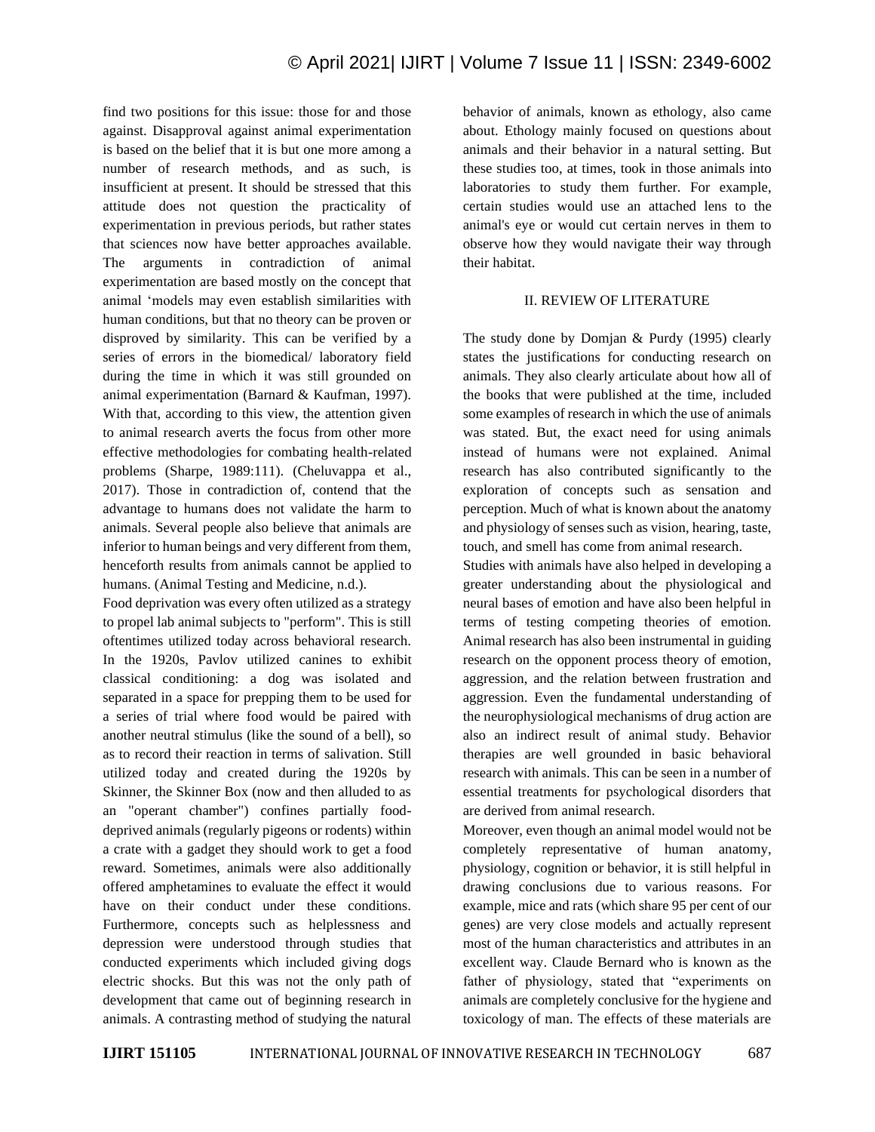find two positions for this issue: those for and those against. Disapproval against animal experimentation is based on the belief that it is but one more among a number of research methods, and as such, is insufficient at present. It should be stressed that this attitude does not question the practicality of experimentation in previous periods, but rather states that sciences now have better approaches available. The arguments in contradiction of animal experimentation are based mostly on the concept that animal 'models may even establish similarities with human conditions, but that no theory can be proven or disproved by similarity. This can be verified by a series of errors in the biomedical/ laboratory field during the time in which it was still grounded on animal experimentation (Barnard & Kaufman, 1997). With that, according to this view, the attention given to animal research averts the focus from other more effective methodologies for combating health-related problems (Sharpe, 1989:111). (Cheluvappa et al., 2017). Those in contradiction of, contend that the advantage to humans does not validate the harm to animals. Several people also believe that animals are inferior to human beings and very different from them, henceforth results from animals cannot be applied to humans. (Animal Testing and Medicine, n.d.).

Food deprivation was every often utilized as a strategy to propel lab animal subjects to "perform". This is still oftentimes utilized today across behavioral research. In the 1920s, Pavlov utilized canines to exhibit classical conditioning: a dog was isolated and separated in a space for prepping them to be used for a series of trial where food would be paired with another neutral stimulus (like the sound of a bell), so as to record their reaction in terms of salivation. Still utilized today and created during the 1920s by Skinner, the Skinner Box (now and then alluded to as an "operant chamber") confines partially fooddeprived animals (regularly pigeons or rodents) within a crate with a gadget they should work to get a food reward. Sometimes, animals were also additionally offered amphetamines to evaluate the effect it would have on their conduct under these conditions. Furthermore, concepts such as helplessness and depression were understood through studies that conducted experiments which included giving dogs electric shocks. But this was not the only path of development that came out of beginning research in animals. A contrasting method of studying the natural

behavior of animals, known as ethology, also came about. Ethology mainly focused on questions about animals and their behavior in a natural setting. But these studies too, at times, took in those animals into laboratories to study them further. For example, certain studies would use an attached lens to the animal's eye or would cut certain nerves in them to observe how they would navigate their way through their habitat.

### II. REVIEW OF LITERATURE

The study done by Domjan & Purdy (1995) clearly states the justifications for conducting research on animals. They also clearly articulate about how all of the books that were published at the time, included some examples of research in which the use of animals was stated. But, the exact need for using animals instead of humans were not explained. Animal research has also contributed significantly to the exploration of concepts such as sensation and perception. Much of what is known about the anatomy and physiology of senses such as vision, hearing, taste, touch, and smell has come from animal research.

Studies with animals have also helped in developing a greater understanding about the physiological and neural bases of emotion and have also been helpful in terms of testing competing theories of emotion. Animal research has also been instrumental in guiding research on the opponent process theory of emotion, aggression, and the relation between frustration and aggression. Even the fundamental understanding of the neurophysiological mechanisms of drug action are also an indirect result of animal study. Behavior therapies are well grounded in basic behavioral research with animals. This can be seen in a number of essential treatments for psychological disorders that are derived from animal research.

Moreover, even though an animal model would not be completely representative of human anatomy, physiology, cognition or behavior, it is still helpful in drawing conclusions due to various reasons. For example, mice and rats (which share 95 per cent of our genes) are very close models and actually represent most of the human characteristics and attributes in an excellent way. Claude Bernard who is known as the father of physiology, stated that "experiments on animals are completely conclusive for the hygiene and toxicology of man. The effects of these materials are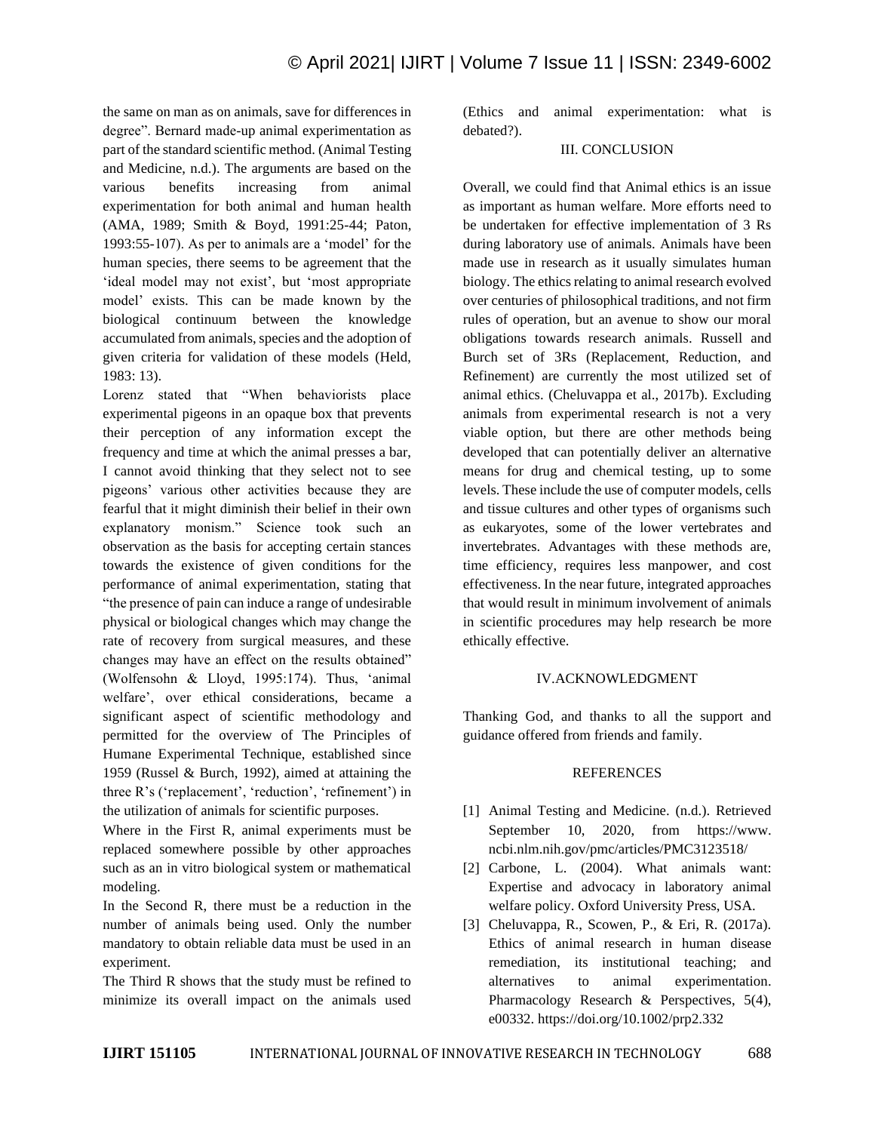the same on man as on animals, save for differences in degree". Bernard made-up animal experimentation as part of the standard scientific method. (Animal Testing and Medicine, n.d.). The arguments are based on the various benefits increasing from animal experimentation for both animal and human health (AMA, 1989; Smith & Boyd, 1991:25-44; Paton, 1993:55-107). As per to animals are a 'model' for the human species, there seems to be agreement that the 'ideal model may not exist', but 'most appropriate model' exists. This can be made known by the biological continuum between the knowledge accumulated from animals, species and the adoption of given criteria for validation of these models (Held, 1983: 13).

Lorenz stated that "When behaviorists place experimental pigeons in an opaque box that prevents their perception of any information except the frequency and time at which the animal presses a bar, I cannot avoid thinking that they select not to see pigeons' various other activities because they are fearful that it might diminish their belief in their own explanatory monism." Science took such an observation as the basis for accepting certain stances towards the existence of given conditions for the performance of animal experimentation, stating that "the presence of pain can induce a range of undesirable physical or biological changes which may change the rate of recovery from surgical measures, and these changes may have an effect on the results obtained" (Wolfensohn & Lloyd, 1995:174). Thus, 'animal welfare', over ethical considerations, became a significant aspect of scientific methodology and permitted for the overview of The Principles of Humane Experimental Technique, established since 1959 (Russel & Burch, 1992), aimed at attaining the three R's ('replacement', 'reduction', 'refinement') in the utilization of animals for scientific purposes.

Where in the First R, animal experiments must be replaced somewhere possible by other approaches such as an in vitro biological system or mathematical modeling.

In the Second R, there must be a reduction in the number of animals being used. Only the number mandatory to obtain reliable data must be used in an experiment.

The Third R shows that the study must be refined to minimize its overall impact on the animals used

(Ethics and animal experimentation: what is debated?).

# III. CONCLUSION

Overall, we could find that Animal ethics is an issue as important as human welfare. More efforts need to be undertaken for effective implementation of 3 Rs during laboratory use of animals. Animals have been made use in research as it usually simulates human biology. The ethics relating to animal research evolved over centuries of philosophical traditions, and not firm rules of operation, but an avenue to show our moral obligations towards research animals. Russell and Burch set of 3Rs (Replacement, Reduction, and Refinement) are currently the most utilized set of animal ethics. (Cheluvappa et al., 2017b). Excluding animals from experimental research is not a very viable option, but there are other methods being developed that can potentially deliver an alternative means for drug and chemical testing, up to some levels. These include the use of computer models, cells and tissue cultures and other types of organisms such as eukaryotes, some of the lower vertebrates and invertebrates. Advantages with these methods are, time efficiency, requires less manpower, and cost effectiveness. In the near future, integrated approaches that would result in minimum involvement of animals in scientific procedures may help research be more ethically effective.

## IV.ACKNOWLEDGMENT

Thanking God, and thanks to all the support and guidance offered from friends and family.

#### REFERENCES

- [1] Animal Testing and Medicine. (n.d.). Retrieved September 10, 2020, from https://www. ncbi.nlm.nih.gov/pmc/articles/PMC3123518/
- [2] Carbone, L. (2004). What animals want: Expertise and advocacy in laboratory animal welfare policy. Oxford University Press, USA.
- [3] Cheluvappa, R., Scowen, P., & Eri, R. (2017a). Ethics of animal research in human disease remediation, its institutional teaching; and alternatives to animal experimentation. Pharmacology Research & Perspectives, 5(4), e00332. https://doi.org/10.1002/prp2.332